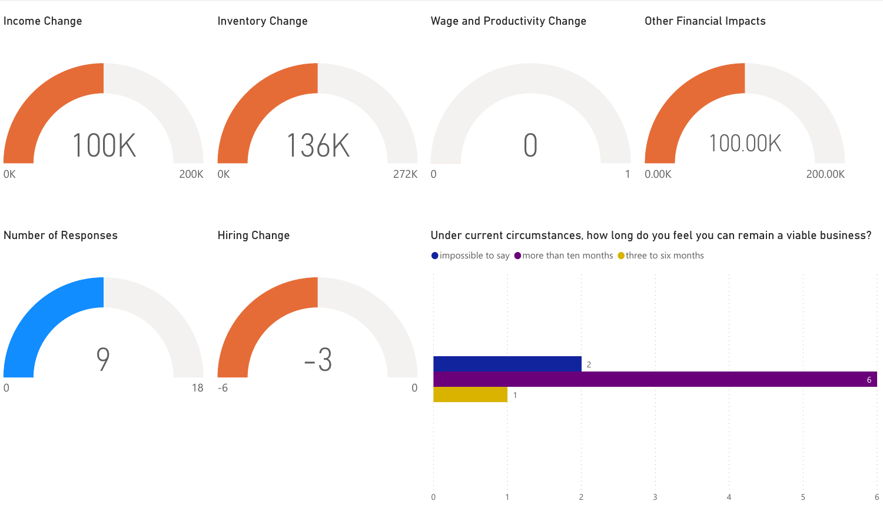